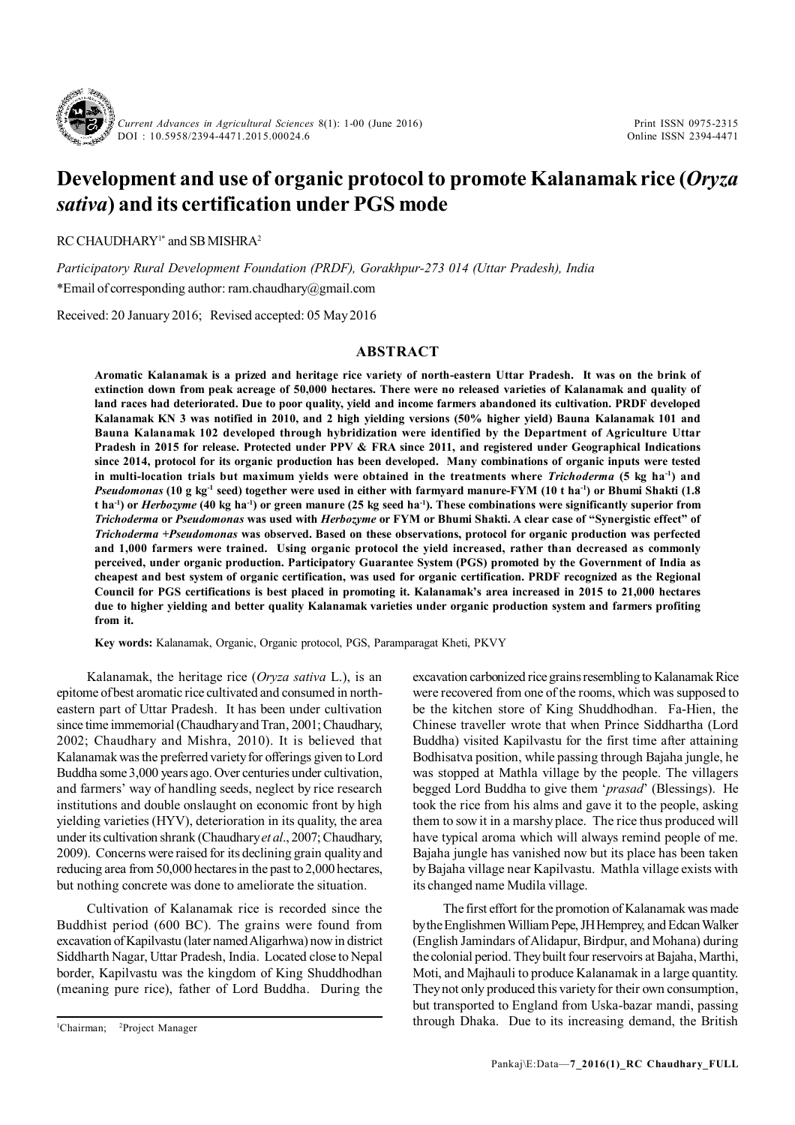

*Current Advances in Agricultural Sciences* 8(1): 1-00 (June 2016) DOI : 10.5958/2394-4471.2015.00024.6

Print ISSN 0975-2315 Online ISSN 2394-4471

# **Development and use of organic protocol to promote Kalanamak rice (***Oryza sativa***) and its certification under PGS mode**

RC CHAUDHARY<sup>1\*</sup> and SB MISHRA<sup>2</sup>

*Participatory Rural Development Foundation (PRDF), Gorakhpur-273 014 (Uttar Pradesh), India* \*Email of corresponding author: ram.chaudhary@gmail.com

Received: 20 January 2016; Revised accepted: 05 May 2016

## **ABSTRACT**

**Aromatic Kalanamak is a prized and heritage rice variety of north-eastern Uttar Pradesh. It was on the brink of extinction down from peak acreage of 50,000 hectares. There were no released varieties of Kalanamak and quality of land races had deteriorated. Due to poor quality, yield and income farmers abandoned its cultivation. PRDF developed Kalanamak KN 3 was notified in 2010, and 2 high yielding versions (50% higher yield) Bauna Kalanamak 101 and Bauna Kalanamak 102 developed through hybridization were identified by the Department of Agriculture Uttar Pradesh in 2015 for release. Protected under PPV & FRA since 2011, and registered under Geographical Indications since 2014, protocol for its organic production has been developed. Many combinations of organic inputs were tested in multi-location trials but maximum yields were obtained in the treatments where** *Trichoderma* **(5 kg ha-1) and** *Pseudomonas* **(10 g kg-1 seed) together were used in either with farmyard manure-FYM (10 t ha-1) or Bhumi Shakti (1.8 t ha-1) or** *Herbozyme* **(40 kg ha-1) or green manure (25 kg seed ha-1). These combinations were significantly superior from** *Trichoderma* **or** *Pseudomonas* **was used with** *Herbozyme* **or FYM or Bhumi Shakti. A clear case of "Synergistic effect" of** *Trichoderma +Pseudomonas* **was observed. Based on these observations, protocol for organic production was perfected and 1,000 farmers were trained. Using organic protocol the yield increased, rather than decreased as commonly perceived, under organic production. Participatory Guarantee System (PGS) promoted by the Government of India as cheapest and best system of organic certification, was used for organic certification. PRDF recognized as the Regional Council for PGS certifications is best placed in promoting it. Kalanamak's area increased in 2015 to 21,000 hectares due to higher yielding and better quality Kalanamak varieties under organic production system and farmers profiting from it.**

**Key words:** Kalanamak, Organic, Organic protocol, PGS, Paramparagat Kheti, PKVY

Kalanamak, the heritage rice (*Oryza sativa* L.), is an epitome of best aromatic rice cultivated and consumed in northeastern part of Uttar Pradesh. It has been under cultivation since time immemorial (Chaudhary and Tran, 2001; Chaudhary, 2002; Chaudhary and Mishra, 2010). It is believed that Kalanamak was the preferred variety for offerings given to Lord Buddha some 3,000 years ago. Over centuries under cultivation, and farmers' way of handling seeds, neglect by rice research institutions and double onslaught on economic front by high yielding varieties (HYV), deterioration in its quality, the area under its cultivation shrank (Chaudhary *et al*., 2007; Chaudhary, 2009). Concerns were raised for its declining grain quality and reducing area from 50,000 hectares in the past to 2,000 hectares, but nothing concrete was done to ameliorate the situation.

Cultivation of Kalanamak rice is recorded since the Buddhist period (600 BC). The grains were found from excavation of Kapilvastu (later named Aligarhwa) now in district Siddharth Nagar, Uttar Pradesh, India. Located close to Nepal border, Kapilvastu was the kingdom of King Shuddhodhan (meaning pure rice), father of Lord Buddha. During the

<sup>1</sup>Chairman; <sup>2</sup>Project Manager

excavation carbonized rice grains resembling to Kalanamak Rice were recovered from one of the rooms, which was supposed to be the kitchen store of King Shuddhodhan. Fa-Hien, the Chinese traveller wrote that when Prince Siddhartha (Lord Buddha) visited Kapilvastu for the first time after attaining Bodhisatva position, while passing through Bajaha jungle, he was stopped at Mathla village by the people. The villagers begged Lord Buddha to give them '*prasad*' (Blessings). He took the rice from his alms and gave it to the people, asking them to sow it in a marshy place. The rice thus produced will have typical aroma which will always remind people of me. Bajaha jungle has vanished now but its place has been taken by Bajaha village near Kapilvastu. Mathla village exists with its changed name Mudila village.

The first effort for the promotion of Kalanamak was made by the Englishmen William Pepe, JH Hemprey, and Edcan Walker (English Jamindars of Alidapur, Birdpur, and Mohana) during the colonial period. They built four reservoirs at Bajaha, Marthi, Moti, and Majhauli to produce Kalanamak in a large quantity. They not only produced this variety for their own consumption, but transported to England from Uska-bazar mandi, passing through Dhaka. Due to its increasing demand, the British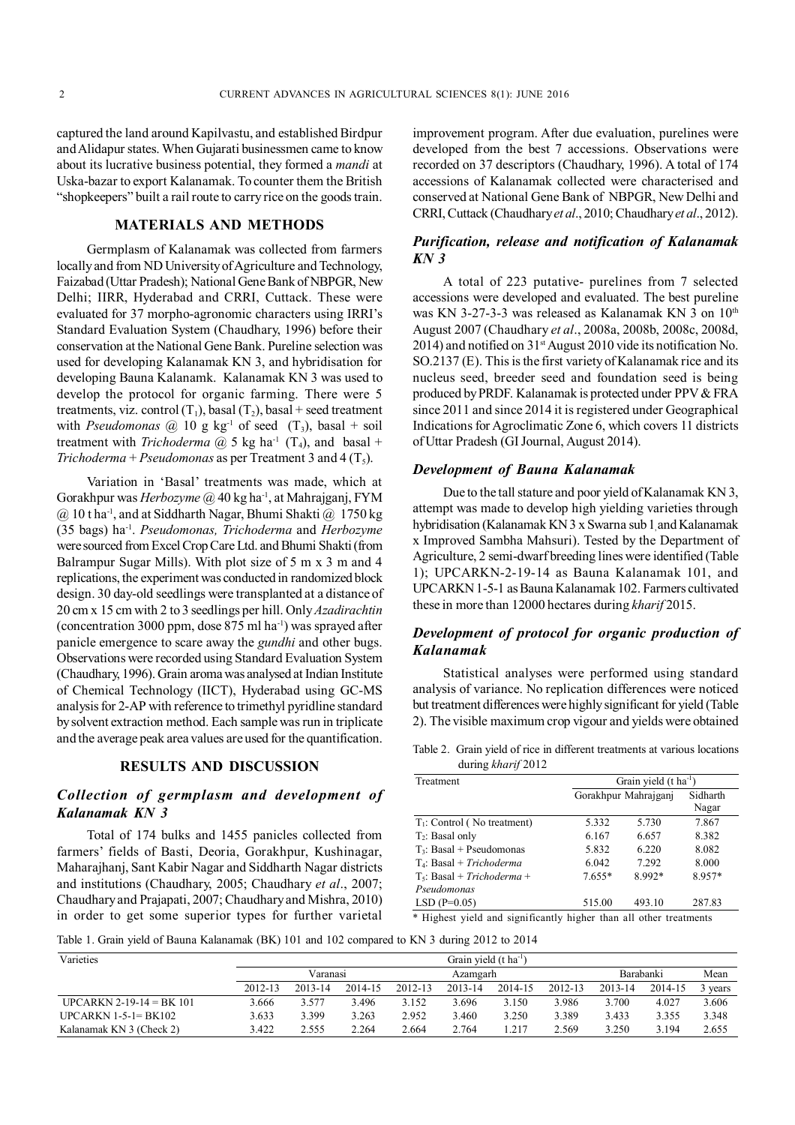captured the land around Kapilvastu, and established Birdpur and Alidapur states. When Gujarati businessmen came to know about its lucrative business potential, they formed a *mandi* at Uska-bazar to export Kalanamak. To counter them the British "shopkeepers" built a rail route to carry rice on the goods train.

## **MATERIALS AND METHODS**

Germplasm of Kalanamak was collected from farmers locally and from ND University of Agriculture and Technology, Faizabad (Uttar Pradesh); National Gene Bank of NBPGR, New Delhi; IIRR, Hyderabad and CRRI, Cuttack. These were evaluated for 37 morpho-agronomic characters using IRRI's Standard Evaluation System (Chaudhary, 1996) before their conservation at the National Gene Bank. Pureline selection was used for developing Kalanamak KN 3, and hybridisation for developing Bauna Kalanamk. Kalanamak KN 3 was used to develop the protocol for organic farming. There were 5 treatments, viz. control  $(T_1)$ , basal  $(T_2)$ , basal + seed treatment with *Pseudomonas*  $\omega$  10 g kg<sup>-1</sup> of seed  $(T_3)$ , basal + soil treatment with *Trichoderma*  $@$  5 kg ha<sup>-1</sup> (T<sub>4</sub>), and basal + *Trichoderma* + *Pseudomonas* as per Treatment 3 and 4  $(T_5)$ .

Variation in 'Basal' treatments was made, which at Gorakhpur was *Herbozyme* @ 40 kg ha-1, at Mahrajganj, FYM  $(a)$  10 t ha<sup>-1</sup>, and at Siddharth Nagar, Bhumi Shakti  $(a)$  1750 kg (35 bags) ha-1 . *Pseudomonas, Trichoderma* and *Herbozyme* were sourced from Excel Crop Care Ltd. and Bhumi Shakti (from Balrampur Sugar Mills). With plot size of 5 m x 3 m and 4 replications, the experiment was conducted in randomized block design. 30 day-old seedlings were transplanted at a distance of 20 cm x 15 cm with 2 to 3 seedlings per hill. Only *Azadirachtin* (concentration 3000 ppm, dose  $875$  ml ha<sup>-1</sup>) was sprayed after panicle emergence to scare away the *gundhi* and other bugs. Observations were recorded using Standard Evaluation System (Chaudhary, 1996). Grain aroma was analysed at Indian Institute of Chemical Technology (IICT), Hyderabad using GC-MS analysis for 2-AP with reference to trimethyl pyridline standard by solvent extraction method. Each sample was run in triplicate and the average peak area values are used for the quantification.

## **RESULTS AND DISCUSSION**

## *Collection of germplasm and development of Kalanamak KN 3*

Total of 174 bulks and 1455 panicles collected from farmers' fields of Basti, Deoria, Gorakhpur, Kushinagar, Maharajhanj, Sant Kabir Nagar and Siddharth Nagar districts and institutions (Chaudhary, 2005; Chaudhary *et al*., 2007; Chaudhary and Prajapati, 2007; Chaudhary and Mishra, 2010) in order to get some superior types for further varietal improvement program. After due evaluation, purelines were developed from the best 7 accessions. Observations were recorded on 37 descriptors (Chaudhary, 1996). A total of 174 accessions of Kalanamak collected were characterised and conserved at National Gene Bank of NBPGR, New Delhi and CRRI, Cuttack (Chaudhary *et al*., 2010; Chaudhary *et al*., 2012).

## *Purification, release and notification of Kalanamak KN 3*

A total of 223 putative- purelines from 7 selected accessions were developed and evaluated. The best pureline was KN 3-27-3-3 was released as Kalanamak KN 3 on 10<sup>th</sup> August 2007 (Chaudhary *et al*., 2008a, 2008b, 2008c, 2008d, 2014) and notified on  $31<sup>st</sup>$  August 2010 vide its notification No. SO.2137 (E). This is the first variety of Kalanamak rice and its nucleus seed, breeder seed and foundation seed is being produced by PRDF. Kalanamak is protected under PPV & FRA since 2011 and since 2014 it is registered under Geographical Indications for Agroclimatic Zone 6, which covers 11 districts of Uttar Pradesh (GI Journal, August 2014).

## *Development of Bauna Kalanamak*

Due to the tall stature and poor yield of Kalanamak KN 3, attempt was made to develop high yielding varieties through hybridisation (Kalanamak KN 3 x Swarna sub 1 and Kalanamak x Improved Sambha Mahsuri). Tested by the Department of Agriculture, 2 semi-dwarf breeding lines were identified (Table 1); UPCARKN-2-19-14 as Bauna Kalanamak 101, and UPCARKN 1-5-1 as Bauna Kalanamak 102. Farmers cultivated these in more than 12000 hectares during *kharif* 2015.

## *Development of protocol for organic production of Kalanamak*

Statistical analyses were performed using standard analysis of variance. No replication differences were noticed but treatment differences were highly significant for yield (Table 2). The visible maximum crop vigour and yields were obtained

Table 2. Grain yield of rice in different treatments at various locations during *kharif* 2012

| Treatment                                    | Grain yield $(t \text{ ha}^{-1})$ |                      |                   |  |  |  |
|----------------------------------------------|-----------------------------------|----------------------|-------------------|--|--|--|
|                                              |                                   | Gorakhpur Mahrajgani | Sidharth<br>Nagar |  |  |  |
| $T_1$ : Control (No treatment)               | 5.332                             | 5.730                | 7.867             |  |  |  |
| $T_2$ : Basal only                           | 6.167                             | 6.657                | 8.382             |  |  |  |
| $T_3$ : Basal + Pseudomonas                  | 5.832                             | 6.220                | 8.082             |  |  |  |
| $T_4$ : Basal + Trichoderma                  | 6.042                             | 7.292                | 8.000             |  |  |  |
| $T_5$ : Basal + Trichoderma +<br>Pseudomonas | $7.655*$                          | 8.992*               | 8.957*            |  |  |  |
| $LSD$ (P=0.05)                               | 515.00                            | 493.10               | 287.83            |  |  |  |

\* Highest yield and significantly higher than all other treatments

Table 1. Grain yield of Bauna Kalanamak (BK) 101 and 102 compared to KN 3 during 2012 to 2014

| Varieties                  | Grain yield $(t \text{ ha}^{-1})$ |         |           |         |         |         |         |         |         |         |
|----------------------------|-----------------------------------|---------|-----------|---------|---------|---------|---------|---------|---------|---------|
|                            | Varanasi<br>Azamgarh              |         | Barabanki |         | Mean    |         |         |         |         |         |
|                            | 2012-13                           | 2013-14 | 2014-15   | 2012-13 | 2013-14 | 2014-15 | 2012-13 | 2013-14 | 2014-15 | 3 years |
| $UPCARKN 2-19-14 = BK 101$ | 3.666                             | 3.577   | 3.496     | 3.152   | 3.696   | 3.150   | 3.986   | 3.700   | 4.027   | 3.606   |
| UPCARKN $1-5-1= BK102$     | 3.633                             | 3.399   | 3.263     | 2.952   | 3.460   | 3.250   | 3.389   | 3.433   | 3.355   | 3.348   |
| Kalanamak KN 3 (Check 2)   | 3.422                             | 2.555   | 2.264     | 2.664   | 2.764   | .217    | 2.569   | 3.250   | 3.194   | 2.655   |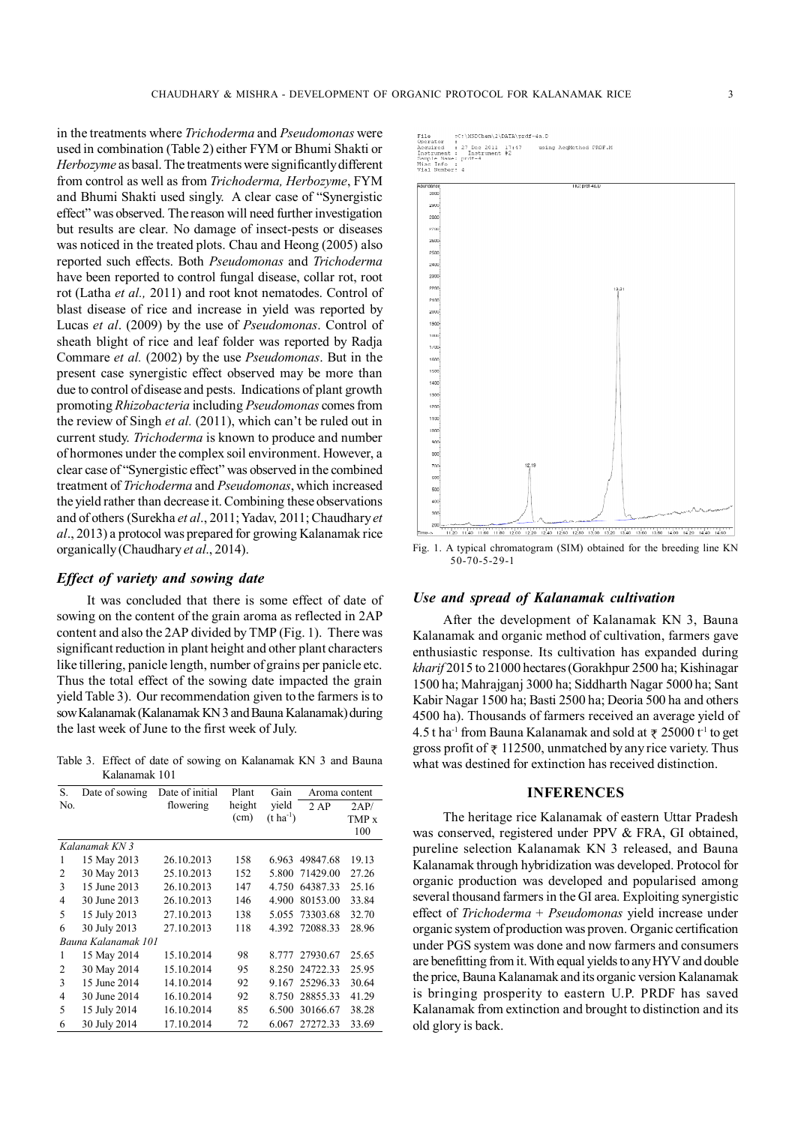in the treatments where *Trichoderma* and *Pseudomonas* were used in combination (Table 2) either FYM or Bhumi Shakti or *Herbozyme* as basal. The treatments were significantly different from control as well as from *Trichoderma, Herbozyme*, FYM and Bhumi Shakti used singly. A clear case of "Synergistic effect" was observed. The reason will need further investigation but results are clear. No damage of insect-pests or diseases was noticed in the treated plots. Chau and Heong (2005) also reported such effects. Both *Pseudomonas* and *Trichoderma* have been reported to control fungal disease, collar rot, root rot (Latha *et al.,* 2011) and root knot nematodes. Control of blast disease of rice and increase in yield was reported by Lucas *et al*. (2009) by the use of *Pseudomonas*. Control of sheath blight of rice and leaf folder was reported by Radja Commare *et al.* (2002) by the use *Pseudomonas*. But in the present case synergistic effect observed may be more than due to control of disease and pests. Indications of plant growth promoting *Rhizobacteria* including *Pseudomonas* comes from the review of Singh *et al.* (2011), which can't be ruled out in current study. *Trichoderma* is known to produce and number of hormones under the complex soil environment. However, a clear case of "Synergistic effect" was observed in the combined treatment of *Trichoderma* and *Pseudomonas*, which increased the yield rather than decrease it. Combining these observations and of others (Surekha *et al*., 2011; Yadav, 2011; Chaudhary *et al*., 2013) a protocol was prepared for growing Kalanamak rice organically (Chaudhary *et al*., 2014).

## *Effect of variety and sowing date*

It was concluded that there is some effect of date of sowing on the content of the grain aroma as reflected in 2AP content and also the 2AP divided by TMP (Fig. 1). There was significant reduction in plant height and other plant characters like tillering, panicle length, number of grains per panicle etc. Thus the total effect of the sowing date impacted the grain yield Table 3). Our recommendation given to the farmers is to sow Kalanamak (Kalanamak KN 3 and Bauna Kalanamak) during the last week of June to the first week of July.

Table 3. Effect of date of sowing on Kalanamak KN 3 and Bauna Kalanamak 101

| S.  | Date of sowing      | Date of initial | Plant  | Gain                  | Aroma content  |       |
|-----|---------------------|-----------------|--------|-----------------------|----------------|-------|
| No. |                     | flowering       | height | yield                 | 2AP            | 2AP/  |
|     |                     |                 | (cm)   | $(t \text{ ha}^{-1})$ |                | TMP x |
|     |                     |                 |        |                       |                | 100   |
|     | Kalanamak KN 3      |                 |        |                       |                |       |
| 1   | 15 May 2013         | 26.10.2013      | 158    | 6.963                 | 49847.68       | 19.13 |
| 2   | 30 May 2013         | 25.10.2013      | 152    | 5.800                 | 71429.00       | 27.26 |
| 3   | 15 June 2013        | 26.10.2013      | 147    | 4.750                 | 64387.33       | 25.16 |
| 4   | 30 June 2013        | 26.10.2013      | 146    | 4.900                 | 80153.00       | 33.84 |
| 5   | 15 July 2013        | 27.10.2013      | 138    | 5.055                 | 73303.68       | 32.70 |
| 6   | 30 July 2013        | 27.10.2013      | 118    |                       | 4.392 72088.33 | 28.96 |
|     | Bauna Kalanamak 101 |                 |        |                       |                |       |
| 1   | 15 May 2014         | 15.10.2014      | 98     | 8.777                 | 27930.67       | 25.65 |
| 2   | 30 May 2014         | 15.10.2014      | 95     | 8.250                 | 24722.33       | 25.95 |
| 3   | 15 June 2014        | 14.10.2014      | 92     | 9.167                 | 25296.33       | 30.64 |
| 4   | 30 June 2014        | 16.10.2014      | 92     | 8.750                 | 28855.33       | 41.29 |
| 5   | 15 July 2014        | 16.10.2014      | 85     | 6.500                 | 30166.67       | 38.28 |
| 6   | 30 July 2014        | 17.10.2014      | 72     | 6.067                 | 27272.33       | 33.69 |



Fig. 1. A typical chromatogram (SIM) obtained for the breeding line KN 50-70-5-29-1

## *Use and spread of Kalanamak cultivation*

After the development of Kalanamak KN 3, Bauna Kalanamak and organic method of cultivation, farmers gave enthusiastic response. Its cultivation has expanded during *kharif* 2015 to 21000 hectares (Gorakhpur 2500 ha; Kishinagar 1500 ha; Mahrajganj 3000 ha; Siddharth Nagar 5000 ha; Sant Kabir Nagar 1500 ha; Basti 2500 ha; Deoria 500 ha and others 4500 ha). Thousands of farmers received an average yield of 4.5 t ha<sup>-1</sup> from Bauna Kalanamak and sold at  $\bar{\tau}$  25000 t<sup>-1</sup> to get gross profit of  $\overline{\tau}$  112500, unmatched by any rice variety. Thus what was destined for extinction has received distinction.

#### **INFERENCES**

The heritage rice Kalanamak of eastern Uttar Pradesh was conserved, registered under PPV & FRA, GI obtained, pureline selection Kalanamak KN 3 released, and Bauna Kalanamak through hybridization was developed. Protocol for organic production was developed and popularised among several thousand farmers in the GI area. Exploiting synergistic effect of *Trichoderma* + *Pseudomonas* yield increase under organic system of production was proven. Organic certification under PGS system was done and now farmers and consumers are benefitting from it. With equal yields to any HYV and double the price, Bauna Kalanamak and its organic version Kalanamak is bringing prosperity to eastern U.P. PRDF has saved Kalanamak from extinction and brought to distinction and its old glory is back.